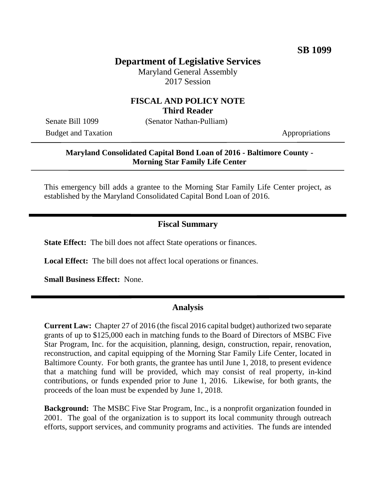# **Department of Legislative Services**

Maryland General Assembly 2017 Session

#### **FISCAL AND POLICY NOTE Third Reader**

Senate Bill 1099 (Senator Nathan-Pulliam)

Budget and Taxation Appropriations

#### **Maryland Consolidated Capital Bond Loan of 2016 - Baltimore County - Morning Star Family Life Center**

This emergency bill adds a grantee to the Morning Star Family Life Center project, as established by the Maryland Consolidated Capital Bond Loan of 2016.

### **Fiscal Summary**

**State Effect:** The bill does not affect State operations or finances.

**Local Effect:** The bill does not affect local operations or finances.

**Small Business Effect:** None.

#### **Analysis**

**Current Law:** Chapter 27 of 2016 (the fiscal 2016 capital budget) authorized two separate grants of up to \$125,000 each in matching funds to the Board of Directors of MSBC Five Star Program, Inc. for the acquisition, planning, design, construction, repair, renovation, reconstruction, and capital equipping of the Morning Star Family Life Center, located in Baltimore County. For both grants, the grantee has until June 1, 2018, to present evidence that a matching fund will be provided, which may consist of real property, in-kind contributions, or funds expended prior to June 1, 2016. Likewise, for both grants, the proceeds of the loan must be expended by June 1, 2018.

**Background:** The MSBC Five Star Program, Inc., is a nonprofit organization founded in 2001. The goal of the organization is to support its local community through outreach efforts, support services, and community programs and activities. The funds are intended